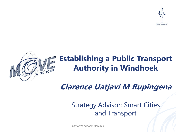



## **Establishing a Public Transport Authority in Windhoek**

**Clarence Uatjavi M Rupingena**

## Strategy Advisor: Smart Cities and Transport

City of Windhoek, Namibia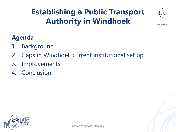## **Establishing a Public Transport Authority in Windhoek**



### **Agenda**

- 1. Background
- 2. Gaps in Windhoek current institutional set up
- 3. Improvements
- 4. Conclusion

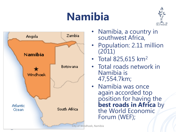# **Namibia**





- Namibia, a country in southwest Africa,
- Population: 2.11 million (2011)
- Total 825,615 km<sup>2</sup>
- Total roads network in Namibia is 47,554.7km;
- Namibia was once again accorded top position for having the **best roads in Africa** by the World Economic Forum (WEF);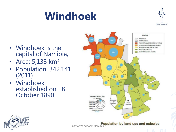# **Windhoek**



- Windhoek is the capital of Namibia,
- Area: 5,133 km²
- Population: 342,141 (2011)
- Windhoek established on 18 October 1890.





City of Windhoek, Namibia<br>City of Windhoek, Namibia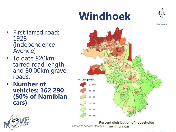# **Windhoek**



- First tarred road: 1928 (Independence Avenue)
- To date 820km tarred road length and 80.00km gravel roads.
- **Number of vehicles: 162 290 (50% of Namibian cars)**





Percent distribution of households City of Windhoek, Namibiaowning a car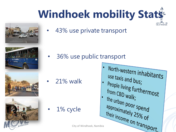# **Windhoek mobility Stats**







43% use private transport

• 36% use public transport

• 21% walk

1% cycle

North-western inhabitants use taxis and bus; People living furthermost from CBD walk; the urban poor spend<br>approximately 250 approximately 25% of City of Windhoek, Namibia

City of Windhoek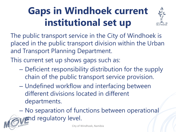## **Gaps in Windhoek current institutional set up**



The public transport service in the City of Windhoek is placed in the public transport division within the Urban and Transport Planning Department.

This current set up shows gaps such as:

- Deficient responsibility distribution for the supply chain of the public transport service provision.
- Undefined workflow and interfacing between different divisions located in different departments.

– No separation of functions between operational **and regulatory level.**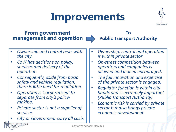# **Improvements**



#### **From government management and operation**



**To Public Transport Authority**

- *Ownership and control rests with the city,*
- *CoW has decisions on policy, services and delivery of the operation*
- *Consequently, aside from basic safety and vehicle regulation, there is little need for regulation.*
- *Operation is 'corporatised' to separate from city's policymaking.*
- *Private sector is not a supplier of services*
- *City or Government carry all costs*

WINDHOEK

- *Ownership, control and operation is within private sector*
- *On-street competition between operators and companies is allowed and indeed encouraged.*
- *The full innovation and expertise of the private sector is engaged,*
- *Regulator function is within city hands and is extremely important (Public Transport Authority)*
- *Economic risk is carried by private sector but also brings private economic development*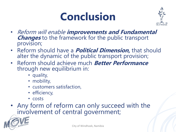



- Reform will enable **improvements and Fundamental Changes** to the framework for the public transport provision;
- Reform should have a **Political Dimension,** that should alter the dynamic of the public transport provision;
- Reform should achieve much **Better Performance**  through new equilibrium in:
	- quality,
	- mobility,
	- customers satisfaction,
	- efficiency,
	- costs

#### • Any form of reform can only succeed with the involvement of central government;